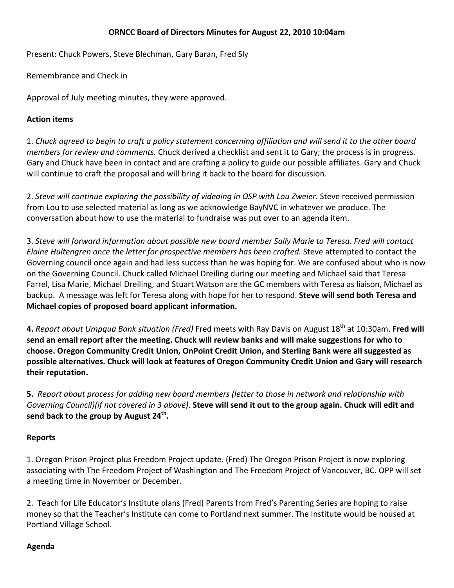### **ORNCC Board of Directors Minutes for August 22, 2010 10:04am**

Present: Chuck Powers, Steve Blechman, Gary Baran, Fred Sly

Remembrance and Check in

Approval of July meeting minutes, they were approved.

### **Action items**

1. Chuck agreed to begin to craft a policy statement concerning affiliation and will send it to the other board *members for review and comments.* Chuck derived a checklist and sent it to Gary; the process is in progress. Gary and Chuck have been in contact and are crafting a policy to guide our possible affiliates. Gary and Chuck will continue to craft the proposal and will bring it back to the board for discussion.

2. *Steve will continue exploring the possibility of videoing in OSP with Lou Zweier.* Steve received permission from Lou to use selected material as long as we acknowledge BayNVC in whatever we produce. The conversation about how to use the material to fundraise was put over to an agenda item.

3. *Steve will forward information about possible new board member Sally Marie to Teresa. Fred will contact Elaine Hultengren once the letter for prospective members has been crafted.* Steve attempted to contact the Governing council once again and had less success than he was hoping for. We are confused about who is now on the Governing Council. Chuck called Michael Dreiling during our meeting and Michael said that Teresa Farrel, Lisa Marie, Michael Dreiling, and Stuart Watson are the GC members with Teresa as liaison, Michael as backup. A message was left for Teresa along with hope for her to respond. **Steve will send both Teresa and Michael copies of proposed board applicant information.** 

**4.** *Report about Umpqua Bank situation (Fred)* Fred meets with Ray Davis on August 18th at 10:30am. **Fred will** send an email report after the meeting. Chuck will review banks and will make suggestions for who to **choose. Oregon Community Credit Union, OnPoint Credit Union, and Sterling Bank were all suggested as possible alternatives. Chuck will look at features of Oregon Community Credit Union and Gary will research their reputation.**

5. Report about process for adding new board members (letter to those in network and relationship with Governing Council) (if not covered in 3 above). Steve will send it out to the group again. Chuck will edit and **send back to the group by August 24th.** 

# **Reports**

1. Oregon Prison Project plus Freedom Project update. (Fred) The Oregon Prison Project is now exploring associating with The Freedom Project of Washington and The Freedom Project of Vancouver, BC. OPP will set a meeting time in November or December.

2. Teach for Life Educator's Institute plans (Fred) Parents from Fred's Parenting Series are hoping to raise money so that the Teacher's Institute can come to Portland next summer. The Institute would be housed at Portland Village School.

# **Agenda**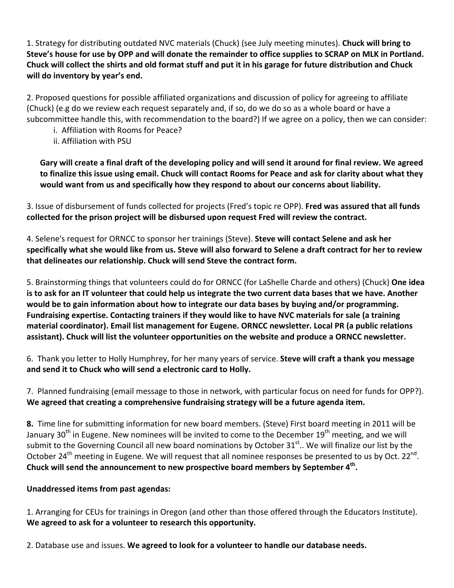1. Strategy for distributing outdated NVC materials (Chuck) (see July meeting minutes). **Chuck will bring to** Steve's house for use by OPP and will donate the remainder to office supplies to SCRAP on MLK in Portland. Chuck will collect the shirts and old format stuff and put it in his garage for future distribution and Chuck **will do inventory by year's end.**

2. Proposed questions for possible affiliated organizations and discussion of policy for agreeing to affiliate (Chuck) (e.g do we review each request separately and, if so, do we do so as a whole board or have a subcommittee handle this, with recommendation to the board?) If we agree on a policy, then we can consider:

- i. Affiliation with Rooms for Peace?
- ii. Affiliation with PSU

Gary will create a final draft of the developing policy and will send it around for final review. We agreed to finalize this issue using email. Chuck will contact Rooms for Peace and ask for clarity about what they **would want from us and specifically how they respond to about our concerns about liability.** 

3. Issue of disbursement of funds collected for projects (Fred's topic re OPP). **Fred was assured that all funds collected for the prison project will be disbursed upon request Fred will review the contract.** 

4. Selene's request for ORNCC to sponsor her trainings (Steve). **Steve will contact Selene and ask her** specifically what she would like from us. Steve will also forward to Selene a draft contract for her to review **that delineates our relationship. Chuck will send Steve the contract form.**

5. Brainstorming things that volunteers could do for ORNCC (for LaShelle Charde and others) (Chuck) **One idea** is to ask for an IT volunteer that could help us integrate the two current data bases that we have. Another **would be to gain information about how to integrate our data bases by buying and/or programming. Fundraising expertise. Contacting trainers if they would like to have NVC materials for sale (a training material coordinator). Email list management for Eugene. ORNCC newsletter. Local PR (a public relations assistant). Chuck will list the volunteer opportunities on the website and produce a ORNCC newsletter.** 

6. Thank you letter to Holly Humphrey, for her many years of service. **Steve will craft a thank you message and send it to Chuck who will send a electronic card to Holly.** 

7. Planned fundraising (email message to those in network, with particular focus on need for funds for OPP?). **We agreed that creating a comprehensive fundraising strategy will be a future agenda item.** 

**8.** Time line for submitting information for new board members. (Steve) First board meeting in 2011 will be January 30<sup>th</sup> in Eugene. New nominees will be invited to come to the December 19<sup>th</sup> meeting, and we will submit to the Governing Council all new board nominations by October 31 $^{\text{st}}$ .. We will finalize our list by the October 24<sup>th</sup> meeting in Eugene. We will request that all nominee responses be presented to us by Oct. 22<sup>nd</sup>. **Chuck will send the announcement to new prospective board members by September 4th.** 

# **Unaddressed items from past agendas:**

1. Arranging for CEUs for trainings in Oregon (and other than those offered through the Educators Institute). **We agreed to ask for a volunteer to research this opportunity.** 

2. Database use and issues. **We agreed to look for a volunteer to handle our database needs.**